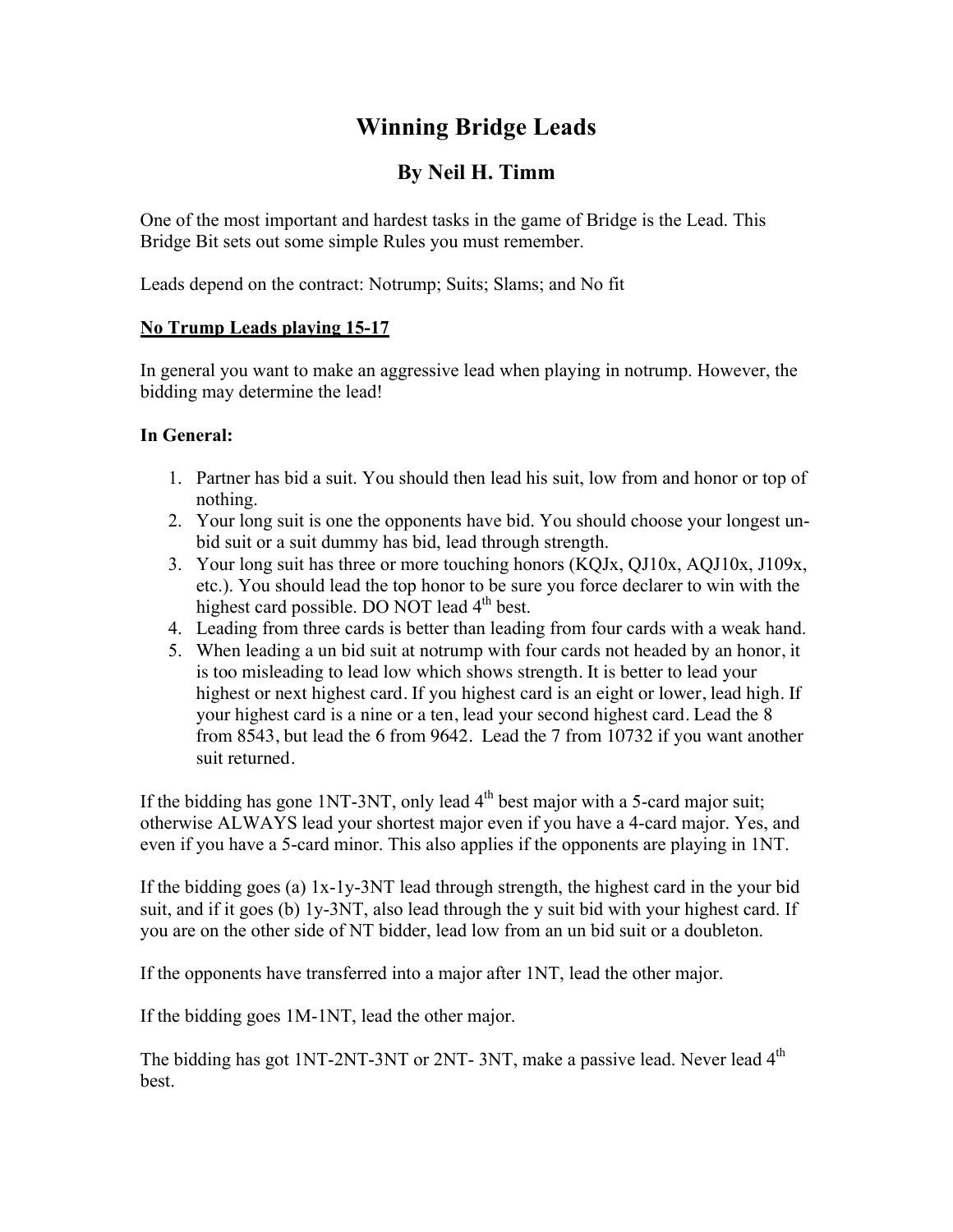# **Winning Bridge Leads**

# **By Neil H. Timm**

One of the most important and hardest tasks in the game of Bridge is the Lead. This Bridge Bit sets out some simple Rules you must remember.

Leads depend on the contract: Notrump; Suits; Slams; and No fit

## **No Trump Leads playing 15-17**

In general you want to make an aggressive lead when playing in notrump. However, the bidding may determine the lead!

### **In General:**

- 1. Partner has bid a suit. You should then lead his suit, low from and honor or top of nothing.
- 2. Your long suit is one the opponents have bid. You should choose your longest unbid suit or a suit dummy has bid, lead through strength.
- 3. Your long suit has three or more touching honors (KQJx, QJ10x, AQJ10x, J109x, etc.). You should lead the top honor to be sure you force declarer to win with the highest card possible. DO NOT lead  $4<sup>th</sup>$  best.
- 4. Leading from three cards is better than leading from four cards with a weak hand.
- 5. When leading a un bid suit at notrump with four cards not headed by an honor, it is too misleading to lead low which shows strength. It is better to lead your highest or next highest card. If you highest card is an eight or lower, lead high. If your highest card is a nine or a ten, lead your second highest card. Lead the 8 from 8543, but lead the 6 from 9642. Lead the 7 from 10732 if you want another suit returned.

If the bidding has gone  $1NT-3NT$ , only lead  $4<sup>th</sup>$  best major with a 5-card major suit; otherwise ALWAYS lead your shortest major even if you have a 4-card major. Yes, and even if you have a 5-card minor. This also applies if the opponents are playing in 1NT.

If the bidding goes (a) 1x-1y-3NT lead through strength, the highest card in the your bid suit, and if it goes (b) 1y-3NT, also lead through the y suit bid with your highest card. If you are on the other side of NT bidder, lead low from an un bid suit or a doubleton.

If the opponents have transferred into a major after 1NT, lead the other major.

If the bidding goes 1M-1NT, lead the other major.

The bidding has got 1NT-2NT-3NT or 2NT-3NT, make a passive lead. Never lead  $4<sup>th</sup>$ best.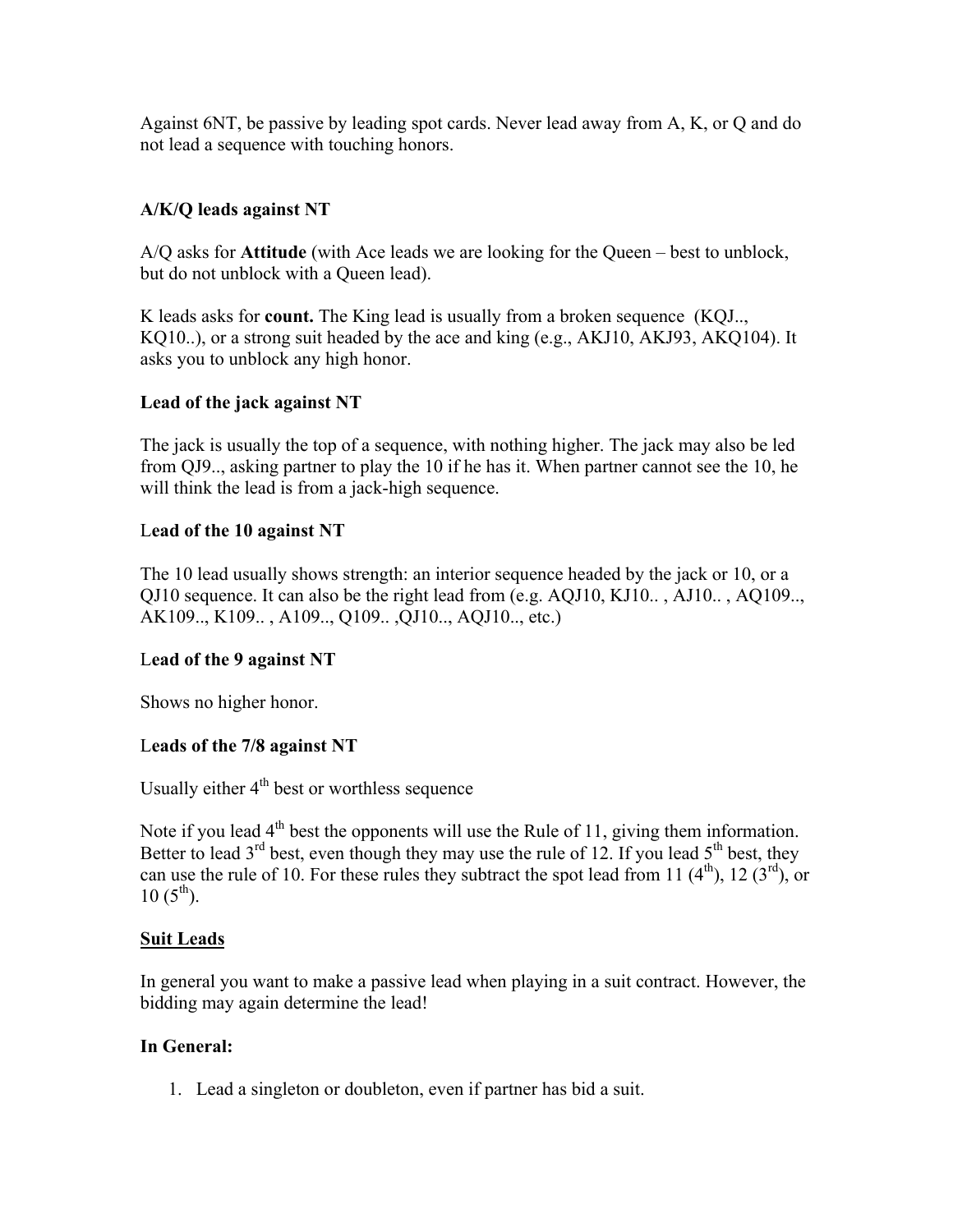Against 6NT, be passive by leading spot cards. Never lead away from A, K, or Q and do not lead a sequence with touching honors.

#### **A/K/Q leads against NT**

A/Q asks for **Attitude** (with Ace leads we are looking for the Queen – best to unblock, but do not unblock with a Queen lead).

K leads asks for **count.** The King lead is usually from a broken sequence (KQJ.., KQ10..), or a strong suit headed by the ace and king (e.g., AKJ10, AKJ93, AKQ104). It asks you to unblock any high honor.

### **Lead of the jack against NT**

The jack is usually the top of a sequence, with nothing higher. The jack may also be led from QJ9.., asking partner to play the 10 if he has it. When partner cannot see the 10, he will think the lead is from a jack-high sequence.

### L**ead of the 10 against NT**

The 10 lead usually shows strength: an interior sequence headed by the jack or 10, or a QJ10 sequence. It can also be the right lead from (e.g. AQJ10, KJ10.. , AJ10.. , AQ109.., AK109.., K109.. , A109.., Q109.. ,QJ10.., AQJ10.., etc.)

#### L**ead of the 9 against NT**

Shows no higher honor.

#### L**eads of the 7/8 against NT**

Usually either  $4<sup>th</sup>$  best or worthless sequence

Note if you lead  $4<sup>th</sup>$  best the opponents will use the Rule of 11, giving them information. Better to lead  $3<sup>rd</sup>$  best, even though they may use the rule of 12. If you lead  $5<sup>th</sup>$  best, they can use the rule of 10. For these rules they subtract the spot lead from 11  $(4<sup>th</sup>)$ , 12  $(3<sup>rd</sup>)$ , or  $10(5^{th})$ .

#### **Suit Leads**

In general you want to make a passive lead when playing in a suit contract. However, the bidding may again determine the lead!

#### **In General:**

1. Lead a singleton or doubleton, even if partner has bid a suit.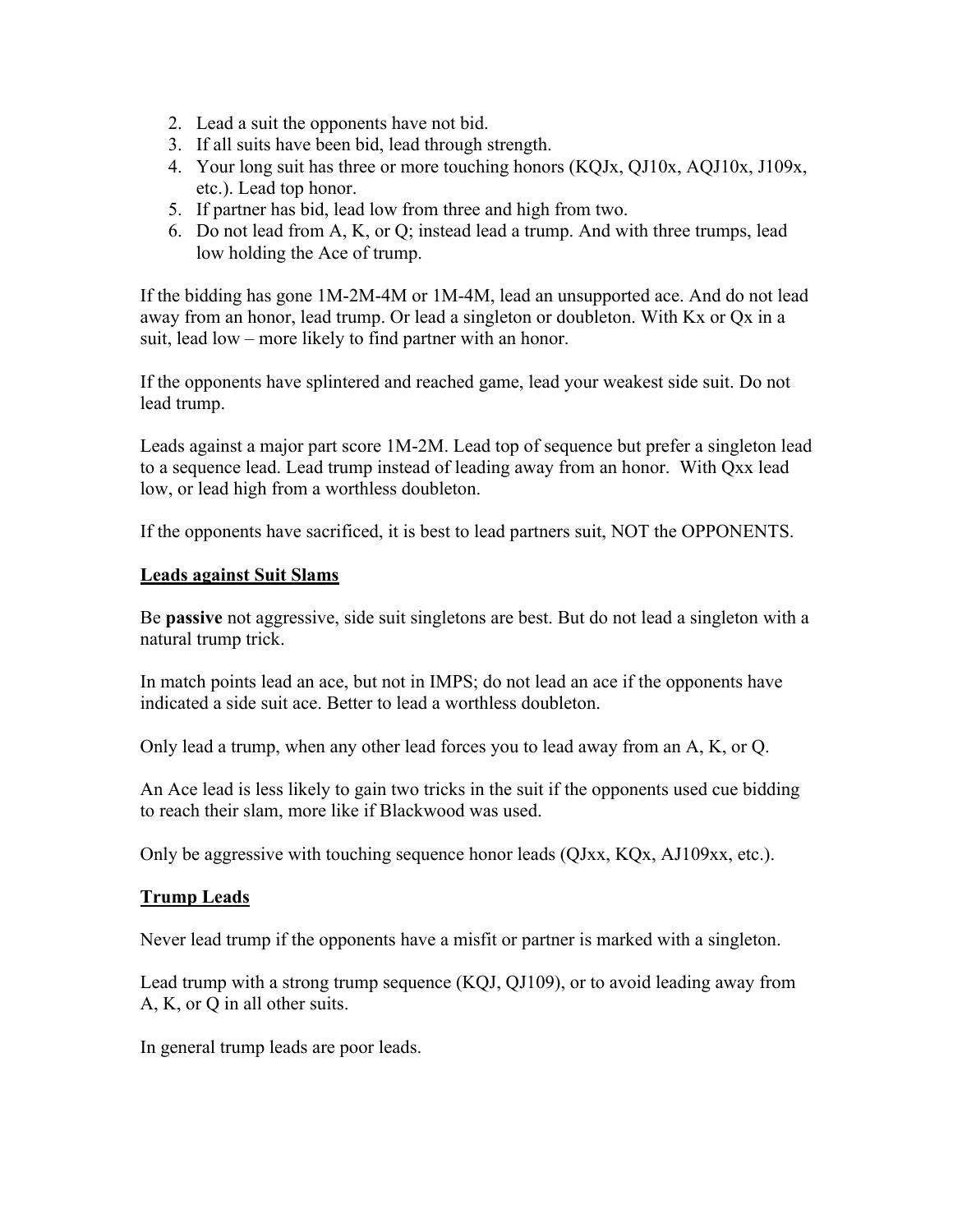- 2. Lead a suit the opponents have not bid.
- 3. If all suits have been bid, lead through strength.
- 4. Your long suit has three or more touching honors (KQJx, QJ10x, AQJ10x, J109x, etc.). Lead top honor.
- 5. If partner has bid, lead low from three and high from two.
- 6. Do not lead from A, K, or Q; instead lead a trump. And with three trumps, lead low holding the Ace of trump.

If the bidding has gone 1M-2M-4M or 1M-4M, lead an unsupported ace. And do not lead away from an honor, lead trump. Or lead a singleton or doubleton. With Kx or Qx in a suit, lead low – more likely to find partner with an honor.

If the opponents have splintered and reached game, lead your weakest side suit. Do not lead trump.

Leads against a major part score 1M-2M. Lead top of sequence but prefer a singleton lead to a sequence lead. Lead trump instead of leading away from an honor. With Qxx lead low, or lead high from a worthless doubleton.

If the opponents have sacrificed, it is best to lead partners suit, NOT the OPPONENTS.

#### **Leads against Suit Slams**

Be **passive** not aggressive, side suit singletons are best. But do not lead a singleton with a natural trump trick.

In match points lead an ace, but not in IMPS; do not lead an ace if the opponents have indicated a side suit ace. Better to lead a worthless doubleton.

Only lead a trump, when any other lead forces you to lead away from an A, K, or Q.

An Ace lead is less likely to gain two tricks in the suit if the opponents used cue bidding to reach their slam, more like if Blackwood was used.

Only be aggressive with touching sequence honor leads (QJxx, KQx, AJ109xx, etc.).

#### **Trump Leads**

Never lead trump if the opponents have a misfit or partner is marked with a singleton.

Lead trump with a strong trump sequence (KQJ, QJ109), or to avoid leading away from A, K, or Q in all other suits.

In general trump leads are poor leads.